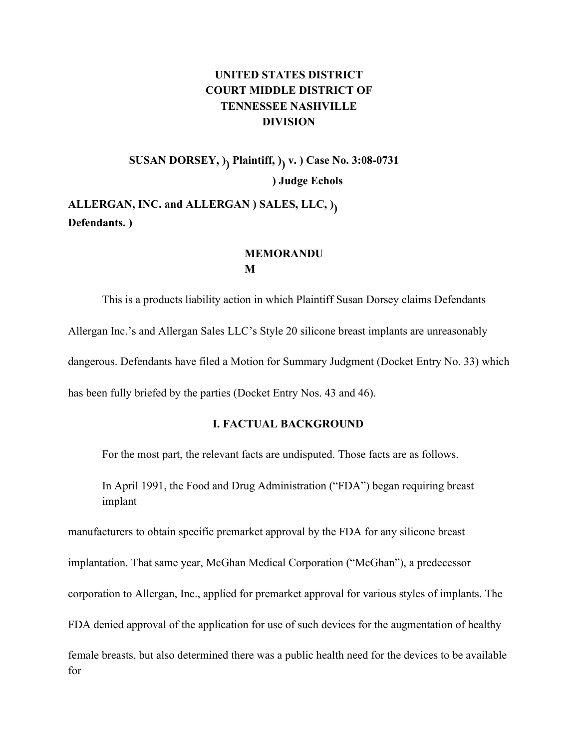# **UNITED STATES DISTRICT COURT MIDDLE DISTRICT OF TENNESSEE NASHVILLE DIVISION**

**SUSAN DORSEY, )) Plaintiff, )) v. ) Case No. 3:08-0731 ) Judge Echols**

**ALLERGAN, INC. and ALLERGAN ) SALES, LLC, )) Defendants. )**

## **MEMORANDU M**

This is a products liability action in which Plaintiff Susan Dorsey claims Defendants Allergan Inc.'s and Allergan Sales LLC's Style 20 silicone breast implants are unreasonably dangerous. Defendants have filed a Motion for Summary Judgment (Docket Entry No. 33) which has been fully briefed by the parties (Docket Entry Nos. 43 and 46).

## **I. FACTUAL BACKGROUND**

For the most part, the relevant facts are undisputed. Those facts are as follows.

In April 1991, the Food and Drug Administration ("FDA") began requiring breast implant

manufacturers to obtain specific premarket approval by the FDA for any silicone breast

implantation. That same year, McGhan Medical Corporation ("McGhan"), a predecessor

corporation to Allergan, Inc., applied for premarket approval for various styles of implants. The

FDA denied approval of the application for use of such devices for the augmentation of healthy

female breasts, but also determined there was a public health need for the devices to be available for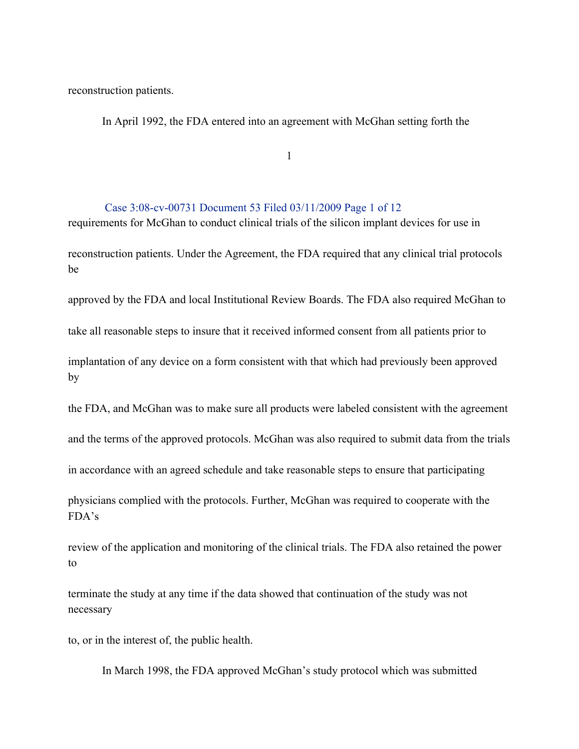reconstruction patients.

In April 1992, the FDA entered into an agreement with McGhan setting forth the

1

### Case 3:08-cv-00731 Document 53 Filed 03/11/2009 Page 1 of 12

requirements for McGhan to conduct clinical trials of the silicon implant devices for use in reconstruction patients. Under the Agreement, the FDA required that any clinical trial protocols be

approved by the FDA and local Institutional Review Boards. The FDA also required McGhan to

take all reasonable steps to insure that it received informed consent from all patients prior to

implantation of any device on a form consistent with that which had previously been approved by

the FDA, and McGhan was to make sure all products were labeled consistent with the agreement

and the terms of the approved protocols. McGhan was also required to submit data from the trials

in accordance with an agreed schedule and take reasonable steps to ensure that participating

physicians complied with the protocols. Further, McGhan was required to cooperate with the FDA's

review of the application and monitoring of the clinical trials. The FDA also retained the power to

terminate the study at any time if the data showed that continuation of the study was not necessary

to, or in the interest of, the public health.

In March 1998, the FDA approved McGhan's study protocol which was submitted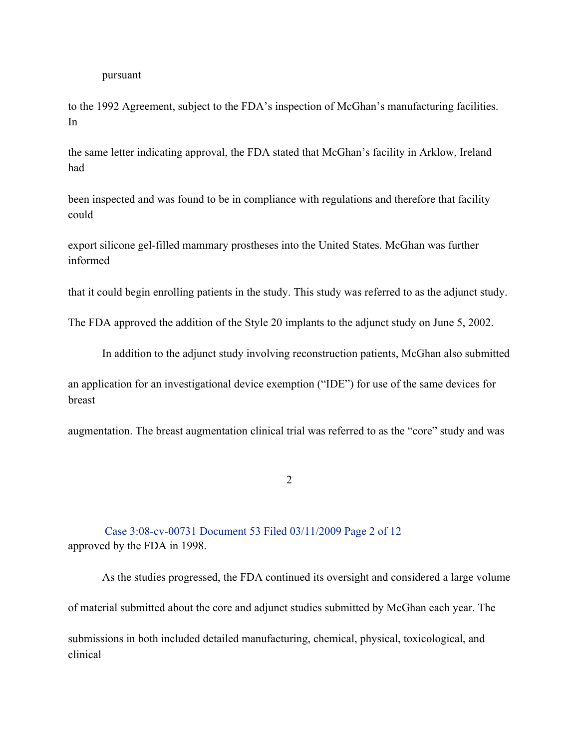#### pursuant

to the 1992 Agreement, subject to the FDA's inspection of McGhan's manufacturing facilities. In

the same letter indicating approval, the FDA stated that McGhan's facility in Arklow, Ireland had

been inspected and was found to be in compliance with regulations and therefore that facility could

export silicone gel-filled mammary prostheses into the United States. McGhan was further informed

that it could begin enrolling patients in the study. This study was referred to as the adjunct study.

The FDA approved the addition of the Style 20 implants to the adjunct study on June 5, 2002.

In addition to the adjunct study involving reconstruction patients, McGhan also submitted

an application for an investigational device exemption ("IDE") for use of the same devices for breast

augmentation. The breast augmentation clinical trial was referred to as the "core" study and was

2

Case 3:08-cv-00731 Document 53 Filed 03/11/2009 Page 2 of 12 approved by the FDA in 1998.

As the studies progressed, the FDA continued its oversight and considered a large volume of material submitted about the core and adjunct studies submitted by McGhan each year. The

submissions in both included detailed manufacturing, chemical, physical, toxicological, and clinical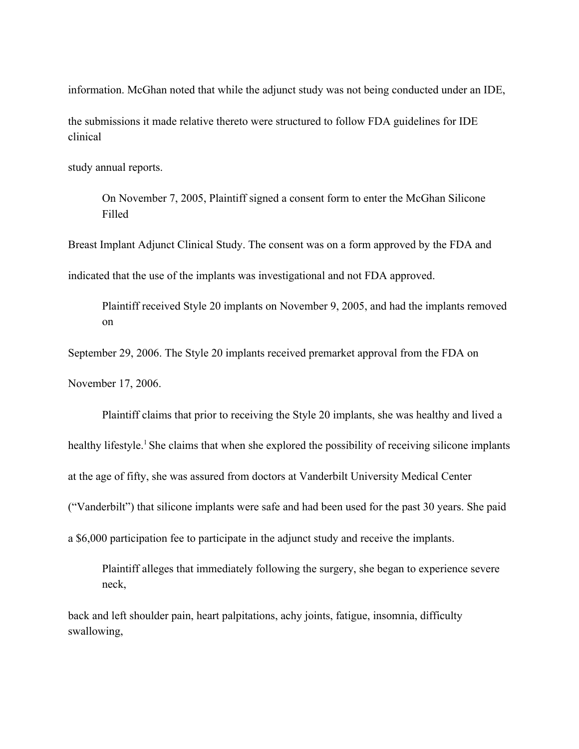information. McGhan noted that while the adjunct study was not being conducted under an IDE,

the submissions it made relative thereto were structured to follow FDA guidelines for IDE clinical

study annual reports.

On November 7, 2005, Plaintiff signed a consent form to enter the McGhan Silicone Filled

Breast Implant Adjunct Clinical Study. The consent was on a form approved by the FDA and

indicated that the use of the implants was investigational and not FDA approved.

Plaintiff received Style 20 implants on November 9, 2005, and had the implants removed on

September 29, 2006. The Style 20 implants received premarket approval from the FDA on

November 17, 2006.

Plaintiff claims that prior to receiving the Style 20 implants, she was healthy and lived a

healthy lifestyle.<sup>1</sup> She claims that when she explored the possibility of receiving silicone implants

at the age of fifty, she was assured from doctors at Vanderbilt University Medical Center

("Vanderbilt") that silicone implants were safe and had been used for the past 30 years. She paid

a \$6,000 participation fee to participate in the adjunct study and receive the implants.

Plaintiff alleges that immediately following the surgery, she began to experience severe neck,

back and left shoulder pain, heart palpitations, achy joints, fatigue, insomnia, difficulty swallowing,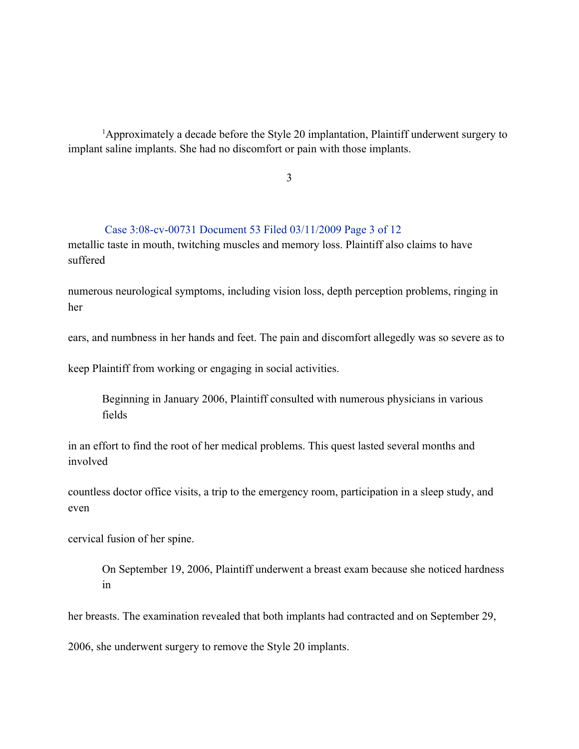<sup>1</sup>Approximately a decade before the Style 20 implantation, Plaintiff underwent surgery to implant saline implants. She had no discomfort or pain with those implants.

3

### Case 3:08-cv-00731 Document 53 Filed 03/11/2009 Page 3 of 12

metallic taste in mouth, twitching muscles and memory loss. Plaintiff also claims to have suffered

numerous neurological symptoms, including vision loss, depth perception problems, ringing in her

ears, and numbness in her hands and feet. The pain and discomfort allegedly was so severe as to

keep Plaintiff from working or engaging in social activities.

Beginning in January 2006, Plaintiff consulted with numerous physicians in various fields

in an effort to find the root of her medical problems. This quest lasted several months and involved

countless doctor office visits, a trip to the emergency room, participation in a sleep study, and even

cervical fusion of her spine.

On September 19, 2006, Plaintiff underwent a breast exam because she noticed hardness in

her breasts. The examination revealed that both implants had contracted and on September 29,

2006, she underwent surgery to remove the Style 20 implants.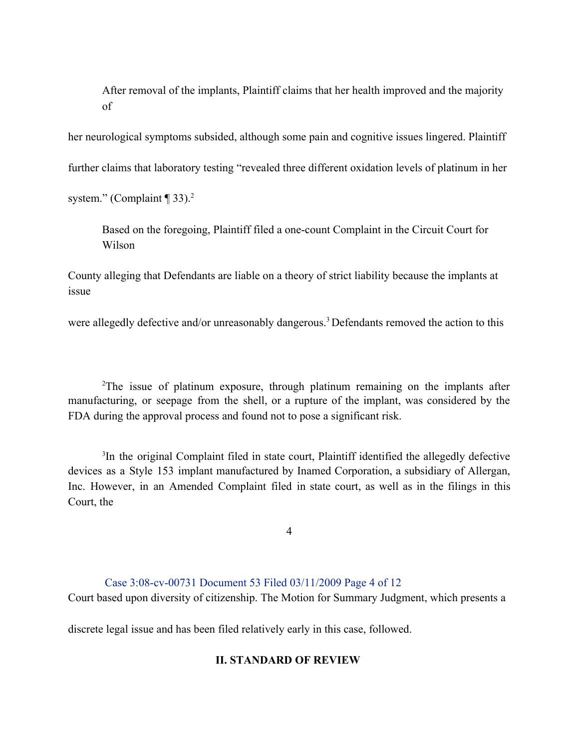After removal of the implants, Plaintiff claims that her health improved and the majority of

her neurological symptoms subsided, although some pain and cognitive issues lingered. Plaintiff further claims that laboratory testing "revealed three different oxidation levels of platinum in her

system." (Complaint  $\P$  33).<sup>2</sup>

Based on the foregoing, Plaintiff filed a one-count Complaint in the Circuit Court for Wilson

County alleging that Defendants are liable on a theory of strict liability because the implants at issue

were allegedly defective and/or unreasonably dangerous.<sup>3</sup> Defendants removed the action to this

<sup>2</sup>The issue of platinum exposure, through platinum remaining on the implants after manufacturing, or seepage from the shell, or a rupture of the implant, was considered by the FDA during the approval process and found not to pose a significant risk.

<sup>3</sup>In the original Complaint filed in state court, Plaintiff identified the allegedly defective devices as a Style 153 implant manufactured by Inamed Corporation, a subsidiary of Allergan, Inc. However, in an Amended Complaint filed in state court, as well as in the filings in this Court, the

4

# Case 3:08-cv-00731 Document 53 Filed 03/11/2009 Page 4 of 12

Court based upon diversity of citizenship. The Motion for Summary Judgment, which presents a

discrete legal issue and has been filed relatively early in this case, followed.

## **II. STANDARD OF REVIEW**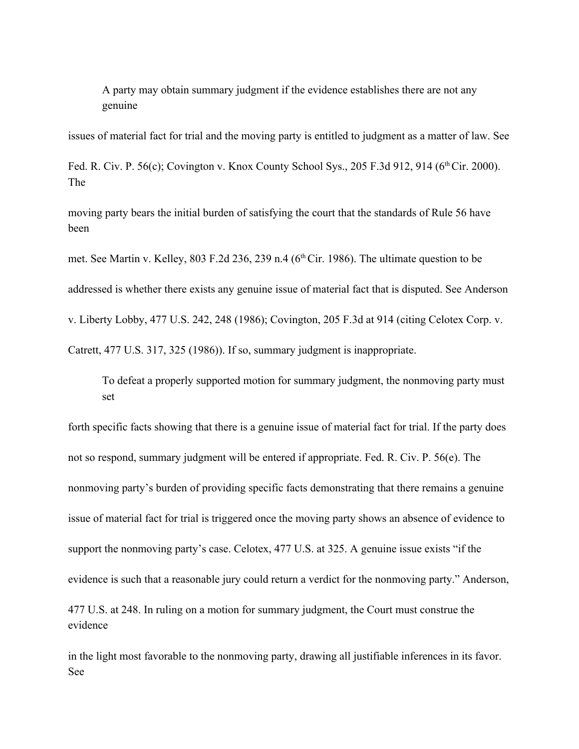A party may obtain summary judgment if the evidence establishes there are not any genuine

issues of material fact for trial and the moving party is entitled to judgment as a matter of law. See

Fed. R. Civ. P. 56(c); Covington v. Knox County School Sys., 205 F.3d 912, 914 (6<sup>th</sup> Cir. 2000). The

moving party bears the initial burden of satisfying the court that the standards of Rule 56 have been

met. See Martin v. Kelley, 803 F.2d 236, 239 n.4 (6<sup>th</sup> Cir. 1986). The ultimate question to be addressed is whether there exists any genuine issue of material fact that is disputed. See Anderson v. Liberty Lobby, 477 U.S. 242, 248 (1986); Covington, 205 F.3d at 914 (citing Celotex Corp. v. Catrett, 477 U.S. 317, 325 (1986)). If so, summary judgment is inappropriate.

To defeat a properly supported motion for summary judgment, the nonmoving party must set

forth specific facts showing that there is a genuine issue of material fact for trial. If the party does not so respond, summary judgment will be entered if appropriate. Fed. R. Civ. P. 56(e). The nonmoving party's burden of providing specific facts demonstrating that there remains a genuine issue of material fact for trial is triggered once the moving party shows an absence of evidence to support the nonmoving party's case. Celotex, 477 U.S. at 325. A genuine issue exists "if the evidence is such that a reasonable jury could return a verdict for the nonmoving party." Anderson, 477 U.S. at 248. In ruling on a motion for summary judgment, the Court must construe the evidence

in the light most favorable to the nonmoving party, drawing all justifiable inferences in its favor. See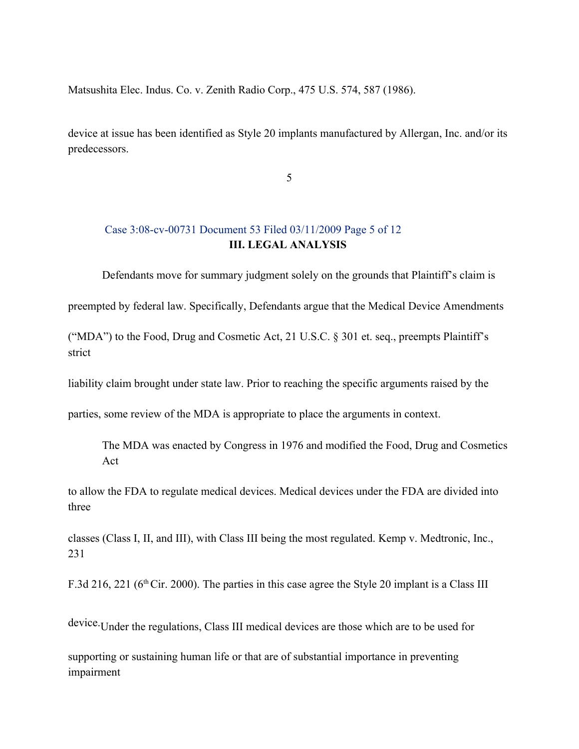Matsushita Elec. Indus. Co. v. Zenith Radio Corp., 475 U.S. 574, 587 (1986).

device at issue has been identified as Style 20 implants manufactured by Allergan, Inc. and/or its predecessors.

5

# Case 3:08-cv-00731 Document 53 Filed 03/11/2009 Page 5 of 12 **III. LEGAL ANALYSIS**

Defendants move for summary judgment solely on the grounds that Plaintiff's claim is

preempted by federal law. Specifically, Defendants argue that the Medical Device Amendments

("MDA") to the Food, Drug and Cosmetic Act, 21 U.S.C. § 301 et. seq., preempts Plaintiff's strict

liability claim brought under state law. Prior to reaching the specific arguments raised by the

parties, some review of the MDA is appropriate to place the arguments in context.

The MDA was enacted by Congress in 1976 and modified the Food, Drug and Cosmetics Act

to allow the FDA to regulate medical devices. Medical devices under the FDA are divided into three

classes (Class I, II, and III), with Class III being the most regulated. Kemp v. Medtronic, Inc., 231

F.3d 216, 221 ( $6<sup>th</sup>$ Cir. 2000). The parties in this case agree the Style 20 implant is a Class III

device.Under the regulations, Class III medical devices are those which are to be used for

supporting or sustaining human life or that are of substantial importance in preventing impairment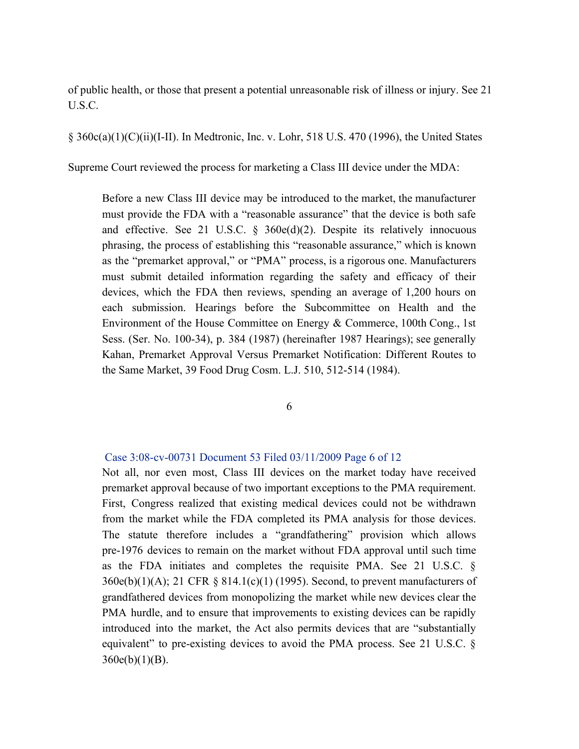of public health, or those that present a potential unreasonable risk of illness or injury. See 21 U.S.C.

§ 360c(a)(1)(C)(ii)(I-II). In Medtronic, Inc. v. Lohr, 518 U.S. 470 (1996), the United States

Supreme Court reviewed the process for marketing a Class III device under the MDA:

Before a new Class III device may be introduced to the market, the manufacturer must provide the FDA with a "reasonable assurance" that the device is both safe and effective. See 21 U.S.C. § 360e(d)(2). Despite its relatively innocuous phrasing, the process of establishing this "reasonable assurance," which is known as the "premarket approval," or "PMA" process, is a rigorous one. Manufacturers must submit detailed information regarding the safety and efficacy of their devices, which the FDA then reviews, spending an average of 1,200 hours on each submission. Hearings before the Subcommittee on Health and the Environment of the House Committee on Energy & Commerce, 100th Cong., 1st Sess. (Ser. No. 100-34), p. 384 (1987) (hereinafter 1987 Hearings); see generally Kahan, Premarket Approval Versus Premarket Notification: Different Routes to the Same Market, 39 Food Drug Cosm. L.J. 510, 512-514 (1984).

6

### Case 3:08-cv-00731 Document 53 Filed 03/11/2009 Page 6 of 12

Not all, nor even most, Class III devices on the market today have received premarket approval because of two important exceptions to the PMA requirement. First, Congress realized that existing medical devices could not be withdrawn from the market while the FDA completed its PMA analysis for those devices. The statute therefore includes a "grandfathering" provision which allows pre-1976 devices to remain on the market without FDA approval until such time as the FDA initiates and completes the requisite PMA. See 21 U.S.C. § 360e(b)(1)(A); 21 CFR § 814.1(c)(1) (1995). Second, to prevent manufacturers of grandfathered devices from monopolizing the market while new devices clear the PMA hurdle, and to ensure that improvements to existing devices can be rapidly introduced into the market, the Act also permits devices that are "substantially equivalent" to pre-existing devices to avoid the PMA process. See 21 U.S.C. §  $360e(b)(1)(B)$ .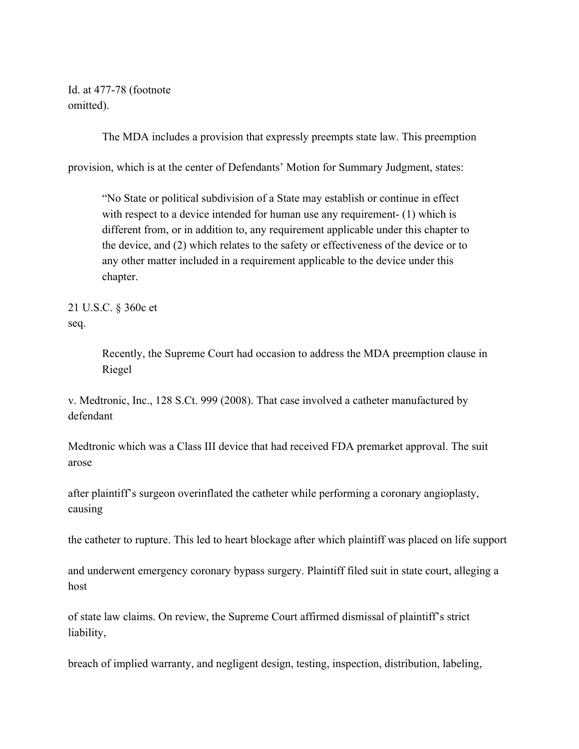Id. at 477-78 (footnote omitted).

The MDA includes a provision that expressly preempts state law. This preemption

provision, which is at the center of Defendants' Motion for Summary Judgment, states:

"No State or political subdivision of a State may establish or continue in effect with respect to a device intended for human use any requirement- (1) which is different from, or in addition to, any requirement applicable under this chapter to the device, and (2) which relates to the safety or effectiveness of the device or to any other matter included in a requirement applicable to the device under this chapter.

21 U.S.C. § 360c et seq.

> Recently, the Supreme Court had occasion to address the MDA preemption clause in Riegel

v. Medtronic, Inc., 128 S.Ct. 999 (2008). That case involved a catheter manufactured by defendant

Medtronic which was a Class III device that had received FDA premarket approval. The suit arose

after plaintiff's surgeon overinflated the catheter while performing a coronary angioplasty, causing

the catheter to rupture. This led to heart blockage after which plaintiff was placed on life support

and underwent emergency coronary bypass surgery. Plaintiff filed suit in state court, alleging a host

of state law claims. On review, the Supreme Court affirmed dismissal of plaintiff's strict liability,

breach of implied warranty, and negligent design, testing, inspection, distribution, labeling,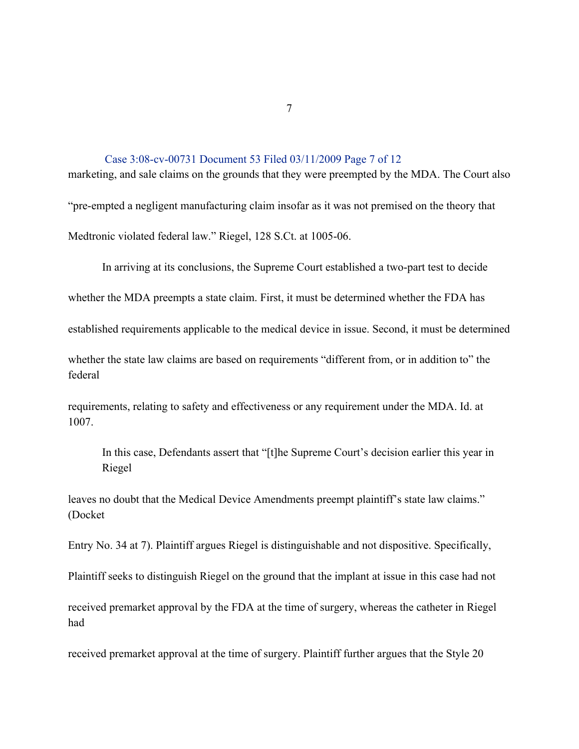Case 3:08-cv-00731 Document 53 Filed 03/11/2009 Page 7 of 12 marketing, and sale claims on the grounds that they were preempted by the MDA. The Court also "pre-empted a negligent manufacturing claim insofar as it was not premised on the theory that

Medtronic violated federal law." Riegel, 128 S.Ct. at 1005-06.

In arriving at its conclusions, the Supreme Court established a two-part test to decide

whether the MDA preempts a state claim. First, it must be determined whether the FDA has

established requirements applicable to the medical device in issue. Second, it must be determined

whether the state law claims are based on requirements "different from, or in addition to" the federal

requirements, relating to safety and effectiveness or any requirement under the MDA. Id. at 1007.

In this case, Defendants assert that "[t]he Supreme Court's decision earlier this year in Riegel

leaves no doubt that the Medical Device Amendments preempt plaintiff's state law claims." (Docket

Entry No. 34 at 7). Plaintiff argues Riegel is distinguishable and not dispositive. Specifically,

Plaintiff seeks to distinguish Riegel on the ground that the implant at issue in this case had not

received premarket approval by the FDA at the time of surgery, whereas the catheter in Riegel had

received premarket approval at the time of surgery. Plaintiff further argues that the Style 20

7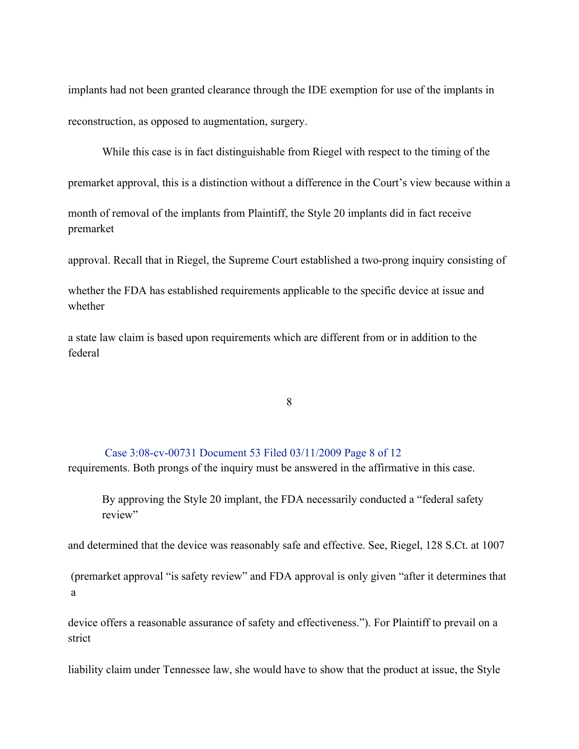implants had not been granted clearance through the IDE exemption for use of the implants in reconstruction, as opposed to augmentation, surgery.

While this case is in fact distinguishable from Riegel with respect to the timing of the

premarket approval, this is a distinction without a difference in the Court's view because within a

month of removal of the implants from Plaintiff, the Style 20 implants did in fact receive premarket

approval. Recall that in Riegel, the Supreme Court established a two-prong inquiry consisting of

whether the FDA has established requirements applicable to the specific device at issue and whether

a state law claim is based upon requirements which are different from or in addition to the federal

8

### Case 3:08-cv-00731 Document 53 Filed 03/11/2009 Page 8 of 12

requirements. Both prongs of the inquiry must be answered in the affirmative in this case.

By approving the Style 20 implant, the FDA necessarily conducted a "federal safety review"

and determined that the device was reasonably safe and effective. See, Riegel, 128 S.Ct. at 1007

(premarket approval "is safety review" and FDA approval is only given "after it determines that a

device offers a reasonable assurance of safety and effectiveness."). For Plaintiff to prevail on a strict

liability claim under Tennessee law, she would have to show that the product at issue, the Style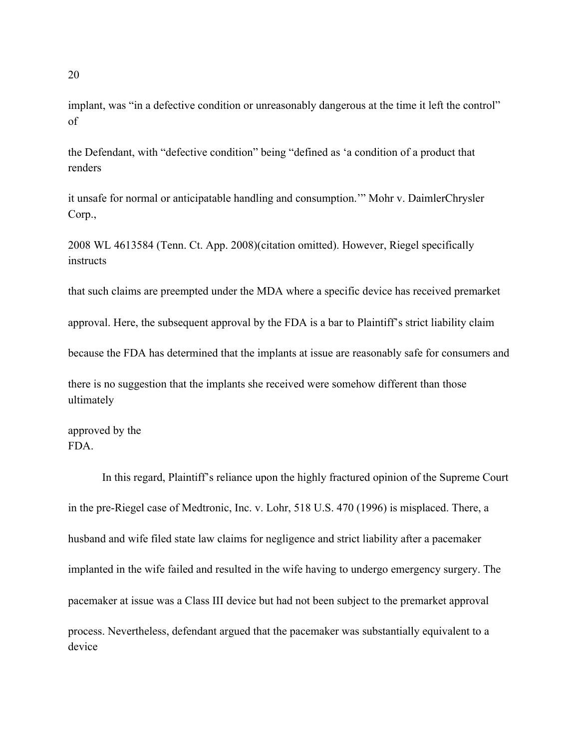implant, was "in a defective condition or unreasonably dangerous at the time it left the control" of

the Defendant, with "defective condition" being "defined as 'a condition of a product that renders

it unsafe for normal or anticipatable handling and consumption.'" Mohr v. DaimlerChrysler Corp.,

2008 WL 4613584 (Tenn. Ct. App. 2008)(citation omitted). However, Riegel specifically instructs

that such claims are preempted under the MDA where a specific device has received premarket

approval. Here, the subsequent approval by the FDA is a bar to Plaintiff's strict liability claim

because the FDA has determined that the implants at issue are reasonably safe for consumers and

there is no suggestion that the implants she received were somehow different than those ultimately

approved by the FDA.

In this regard, Plaintiff's reliance upon the highly fractured opinion of the Supreme Court in the pre-Riegel case of Medtronic, Inc. v. Lohr, 518 U.S. 470 (1996) is misplaced. There, a husband and wife filed state law claims for negligence and strict liability after a pacemaker implanted in the wife failed and resulted in the wife having to undergo emergency surgery. The pacemaker at issue was a Class III device but had not been subject to the premarket approval process. Nevertheless, defendant argued that the pacemaker was substantially equivalent to a device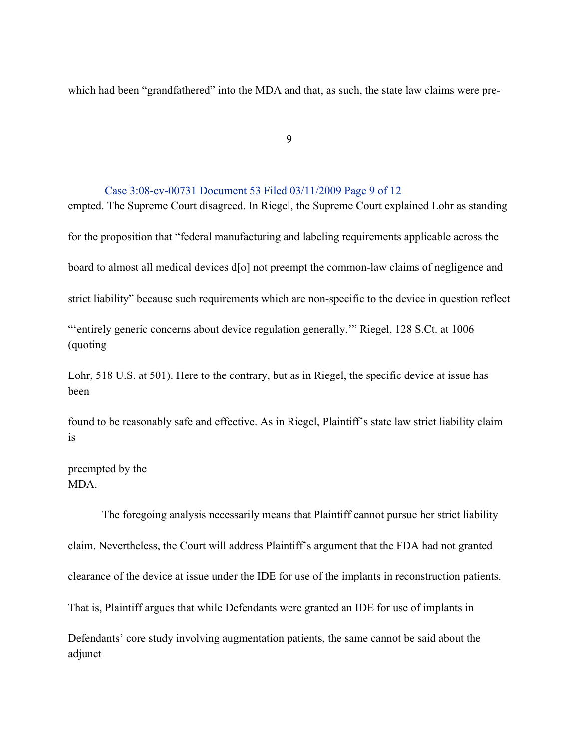which had been "grandfathered" into the MDA and that, as such, the state law claims were pre-

9

#### Case 3:08-cv-00731 Document 53 Filed 03/11/2009 Page 9 of 12

empted. The Supreme Court disagreed. In Riegel, the Supreme Court explained Lohr as standing for the proposition that "federal manufacturing and labeling requirements applicable across the board to almost all medical devices d[o] not preempt the common-law claims of negligence and strict liability" because such requirements which are non-specific to the device in question reflect "'entirely generic concerns about device regulation generally." Riegel, 128 S.Ct. at 1006 (quoting

Lohr, 518 U.S. at 501). Here to the contrary, but as in Riegel, the specific device at issue has been

found to be reasonably safe and effective. As in Riegel, Plaintiff's state law strict liability claim is

preempted by the MDA.

The foregoing analysis necessarily means that Plaintiff cannot pursue her strict liability claim. Nevertheless, the Court will address Plaintiff's argument that the FDA had not granted clearance of the device at issue under the IDE for use of the implants in reconstruction patients. That is, Plaintiff argues that while Defendants were granted an IDE for use of implants in Defendants' core study involving augmentation patients, the same cannot be said about the adjunct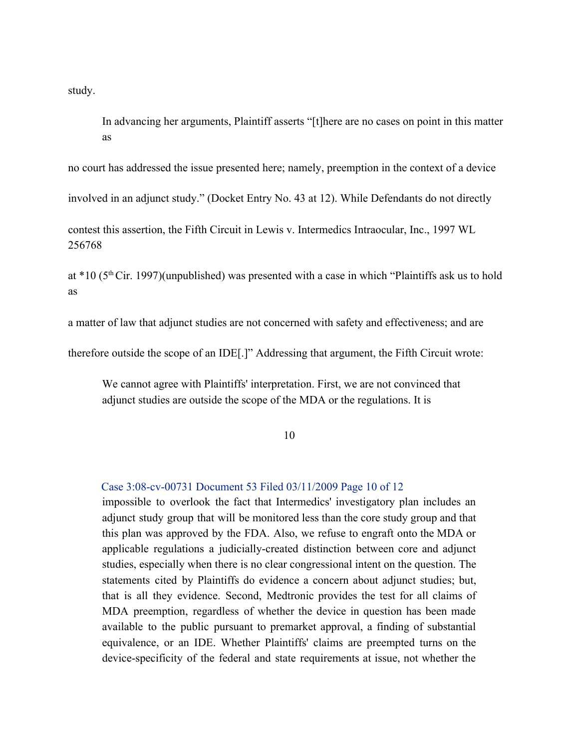study.

In advancing her arguments, Plaintiff asserts "[t]here are no cases on point in this matter as

no court has addressed the issue presented here; namely, preemption in the context of a device

involved in an adjunct study." (Docket Entry No. 43 at 12). While Defendants do not directly

contest this assertion, the Fifth Circuit in Lewis v. Intermedics Intraocular, Inc., 1997 WL 256768

at  $*10$  ( $5<sup>th</sup>$ Cir. 1997)(unpublished) was presented with a case in which "Plaintiffs ask us to hold as

a matter of law that adjunct studies are not concerned with safety and effectiveness; and are

therefore outside the scope of an IDE[.]" Addressing that argument, the Fifth Circuit wrote:

We cannot agree with Plaintiffs' interpretation. First, we are not convinced that adjunct studies are outside the scope of the MDA or the regulations. It is

10

#### Case 3:08-cv-00731 Document 53 Filed 03/11/2009 Page 10 of 12

impossible to overlook the fact that Intermedics' investigatory plan includes an adjunct study group that will be monitored less than the core study group and that this plan was approved by the FDA. Also, we refuse to engraft onto the MDA or applicable regulations a judicially-created distinction between core and adjunct studies, especially when there is no clear congressional intent on the question. The statements cited by Plaintiffs do evidence a concern about adjunct studies; but, that is all they evidence. Second, Medtronic provides the test for all claims of MDA preemption, regardless of whether the device in question has been made available to the public pursuant to premarket approval, a finding of substantial equivalence, or an IDE. Whether Plaintiffs' claims are preempted turns on the device-specificity of the federal and state requirements at issue, not whether the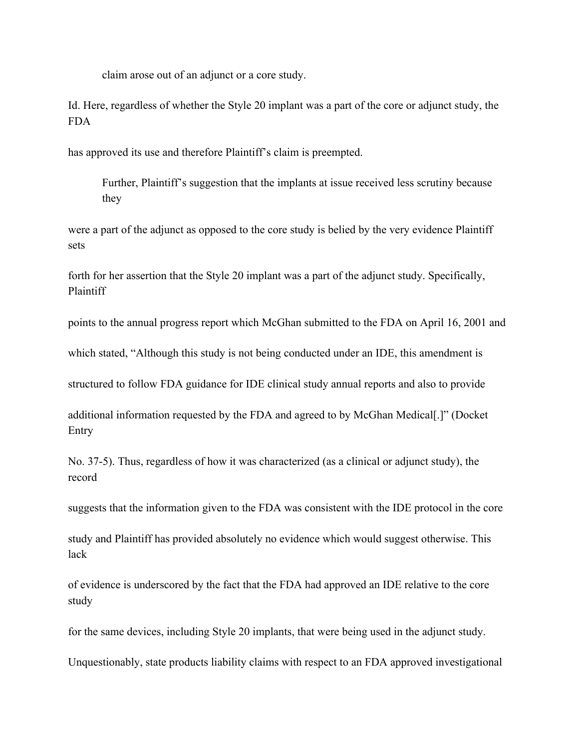claim arose out of an adjunct or a core study.

Id. Here, regardless of whether the Style 20 implant was a part of the core or adjunct study, the FDA

has approved its use and therefore Plaintiff's claim is preempted.

Further, Plaintiff's suggestion that the implants at issue received less scrutiny because they

were a part of the adjunct as opposed to the core study is belied by the very evidence Plaintiff sets

forth for her assertion that the Style 20 implant was a part of the adjunct study. Specifically, Plaintiff

points to the annual progress report which McGhan submitted to the FDA on April 16, 2001 and

which stated, "Although this study is not being conducted under an IDE, this amendment is

structured to follow FDA guidance for IDE clinical study annual reports and also to provide

additional information requested by the FDA and agreed to by McGhan Medical[.]" (Docket Entry

No. 37-5). Thus, regardless of how it was characterized (as a clinical or adjunct study), the record

suggests that the information given to the FDA was consistent with the IDE protocol in the core

study and Plaintiff has provided absolutely no evidence which would suggest otherwise. This lack

of evidence is underscored by the fact that the FDA had approved an IDE relative to the core study

for the same devices, including Style 20 implants, that were being used in the adjunct study.

Unquestionably, state products liability claims with respect to an FDA approved investigational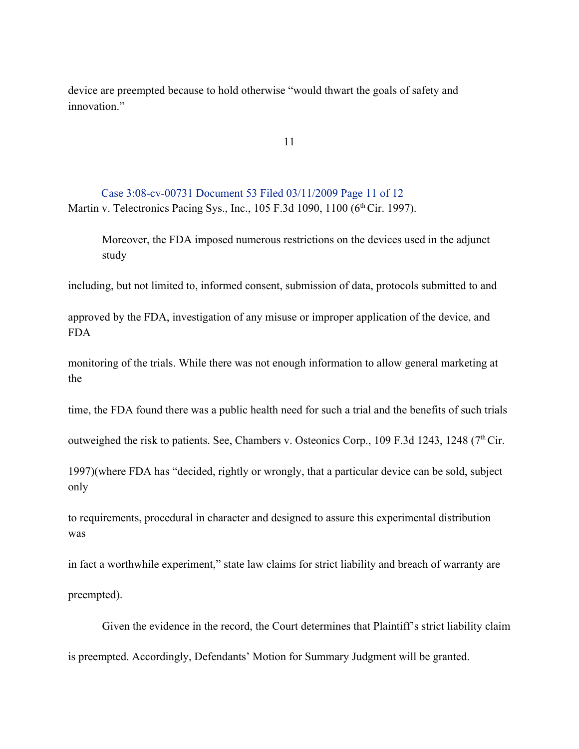device are preempted because to hold otherwise "would thwart the goals of safety and innovation"

11

Case 3:08-cv-00731 Document 53 Filed 03/11/2009 Page 11 of 12 Martin v. Telectronics Pacing Sys., Inc., 105 F.3d 1090, 1100 (6<sup>th</sup> Cir. 1997).

Moreover, the FDA imposed numerous restrictions on the devices used in the adjunct study

including, but not limited to, informed consent, submission of data, protocols submitted to and

approved by the FDA, investigation of any misuse or improper application of the device, and FDA

monitoring of the trials. While there was not enough information to allow general marketing at the

time, the FDA found there was a public health need for such a trial and the benefits of such trials

outweighed the risk to patients. See, Chambers v. Osteonics Corp., 109 F.3d 1243, 1248 ( $7<sup>th</sup> Cir.$ 

1997)(where FDA has "decided, rightly or wrongly, that a particular device can be sold, subject only

to requirements, procedural in character and designed to assure this experimental distribution was

in fact a worthwhile experiment," state law claims for strict liability and breach of warranty are preempted).

Given the evidence in the record, the Court determines that Plaintiff's strict liability claim is preempted. Accordingly, Defendants' Motion for Summary Judgment will be granted.